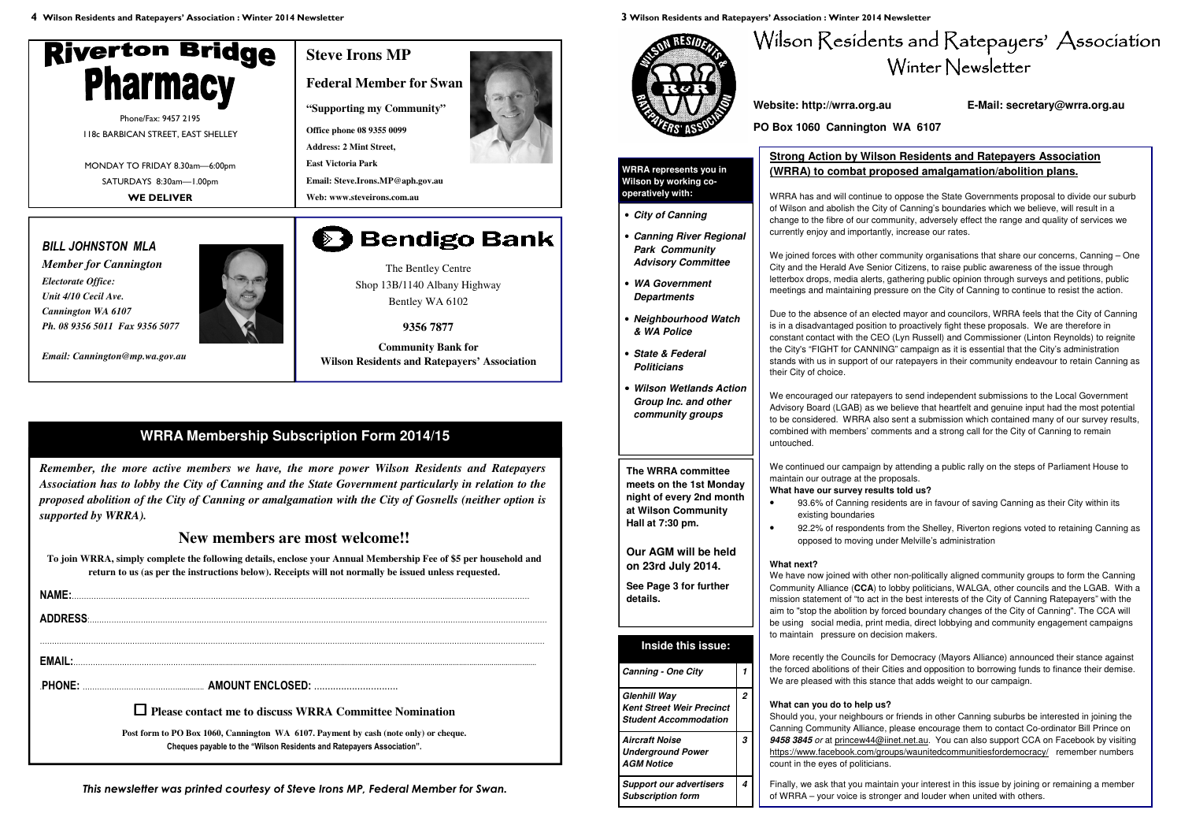**4 Wilson Residents and Ratepayers' Association : Winter 2014 Newsletter** 



The Bentley Centre Shop 13B/1140 Albany Highway Bentley WA 6102

**9356 7877** 

**Community Bank for Wilson Residents and Ratepayers' Association** 

*Remember, the more active members we have, the more power Wilson Residents and Ratepayers Association has to lobby the City of Canning and the State Government particularly in relation to the proposed abolition of the City of Canning or amalgamation with the City of Gosnells (neither option is supported by WRRA).*

### **New members are most welcome!!**

**To join WRRA, simply complete the following details, enclose your Annual Membership Fee of \$5 per household and return to us (as per the instructions below). Receipts will not normally be issued unless requested.** 

| NAME: |                                                                                      |
|-------|--------------------------------------------------------------------------------------|
|       | ADDRESS                                                                              |
|       |                                                                                      |
|       |                                                                                      |
|       |                                                                                      |
|       |                                                                                      |
|       | $\Box$ Please contact me to discuss WRRA Committee Nomination                        |
|       | Post form to PO Box 1060, Cannington WA 6107. Payment by cash (note only) or cheque. |
|       | Cheques payable to the "Wilson Residents and Ratepayers Association".                |

## **WRRA Membership Subscription Form 2014/15**

*This newsletter was printed courtesy of Steve Irons MP, Federal Member for Swan.* 



## **Steve Irons MP**

**Federal Member for Swan** 

**"Supporting my Community"**

**Office phone 08 9355 0099** 

**Address: 2 Mint Street,** 

**East Victoria Park** 

**Email: Steve.Irons.MP@aph.gov.au** 

**Web: www.steveirons.com.au** 

# **Bendigo Bank**

Phone/Fax: 9457 2195 118c BARBICAN STREET, EAST SHELLEY

MONDAY TO FRIDAY 8.30am—6:00pm SATURDAYS 8:30am—1.00pm **WE DELIVER** 

> We joined forces with other community organisations that share our concerns, Canning - One City and the Herald Ave Senior Citizens, to raise public awareness of the issue through letterbox drops, media alerts, gathering public opinion through surveys and petitions, public meetings and maintaining pressure on the City of Canning to continue to resist the action.

### *BILL JOHNSTON MLA*

*Member for Cannington Electorate Office: Unit 4/10 Cecil Ave. Cannington WA 6107 Ph. 08 9356 5011 Fax 9356 5077* 



*Email: Cannington@mp.wa.gov.au* 

**3 Wilson Residents and Ratepayers' Association : Winter 2014 Newsletter** 





#### **Website: http://wrra.org.au E-Mail: secretary@wrra.org.au**

**PO Box 1060 Cannington WA 6107** 

• **City of Canning** 

• **Canning River Regional Park Community Advisory Committee** 

• **WA Government Departments** 

• **Neighbourhood Watch** 

**& WA Police** 

• **State & Federal Politicians** 

• **Wilson Wetlands Action Group Inc. and other community groups**

**WRRA represents you in Wilson by working cooperatively with:** 

**Inside this issue:**

**Glenhill Way** 

 **Kent Street Weir Precinct Student Accommodation** 

**2** 

**Aircraft Noise Underground Power** 

**AGM Notice** 

**3** 

**Support our advertisers Subscription form** 

**Canning - One City** 

**4** 

**The WRRA committee meets on the 1st Monday night of every 2nd month at Wilson Community Hall at 7:30 pm.** 

**Our AGM will be held on 23rd July 2014.** 

**See Page 3 for further** 

**details.** 

### **Strong Action by Wilson Residents and Ratepayers Association (WRRA) to combat proposed amalgamation/abolition plans.**

WRRA has and will continue to oppose the State Governments proposal to divide our suburb of Wilson and abolish the City of Canning's boundaries which we believe, will result in a change to the fibre of our community, adversely effect the range and quality of services we currently enjoy and importantly, increase our rates.

Due to the absence of an elected mayor and councilors, WRRA feels that the City of Canning is in a disadvantaged position to proactively fight these proposals. We are therefore in constant contact with the CEO (Lyn Russell) and Commissioner (Linton Reynolds) to reignite the City's "FIGHT for CANNING" campaign as it is essential that the City's administration stands with us in support of our ratepayers in their community endeavour to retain Canning as their City of choice.

We encouraged our ratepayers to send independent submissions to the Local Government Advisory Board (LGAB) as we believe that heartfelt and genuine input had the most potential to be considered. WRRA also sent a submission which contained many of our survey results, combined with members' comments and a strong call for the City of Canning to remain untouched.

We continued our campaign by attending a public rally on the steps of Parliament House to maintain our outrage at the proposals. **What have our survey results told us?** 

• 93.6% of Canning residents are in favour of saving Canning as their City within its

- existing boundaries
- 

• 92.2% of respondents from the Shelley, Riverton regions voted to retaining Canning as opposed to moving under Melville's administration

#### **What next?**

 We have now joined with other non-politically aligned community groups to form the Canning Community Alliance (**CCA**) to lobby politicians, WALGA, other councils and the LGAB. With a mission statement of "to act in the best interests of the City of Canning Ratepayers" with the aim to "stop the abolition by forced boundary changes of the City of Canning". The CCA will be using social media, print media, direct lobbying and community engagement campaigns to maintain pressure on decision makers.

More recently the Councils for Democracy (Mayors Alliance) announced their stance against the forced abolitions of their Cities and opposition to borrowing funds to finance their demise. We are pleased with this stance that adds weight to our campaign.

**What can you do to help us?**  Should you, your neighbours or friends in other Canning suburbs be interested in joining the Canning Community Alliance, please encourage them to contact Co-ordinator Bill Prince on **9458 3845** or at princew44@iinet.net.au. You can also support CCA on Facebook by visiting https://www.facebook.com/groups/waunitedcommunitiesfordemocracy/ remember numbers count in the eyes of politicians.

Finally, we ask that you maintain your interest in this issue by joining or remaining a member of WRRA – your voice is stronger and louder when united with others.